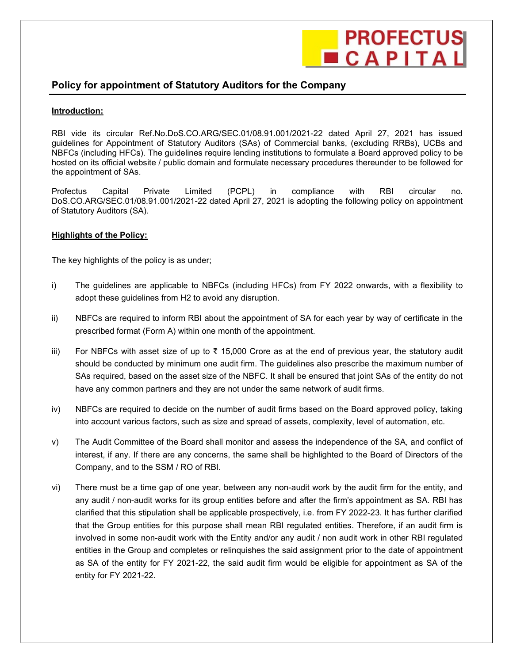### Policy for appointment of Statutory Auditors for the Company

#### Introduction:

RBI vide its circular Ref.No.DoS.CO.ARG/SEC.01/08.91.001/2021-22 dated April 27, 2021 has issued guidelines for Appointment of Statutory Auditors (SAs) of Commercial banks, (excluding RRBs), UCBs and NBFCs (including HFCs). The guidelines require lending institutions to formulate a Board approved policy to be hosted on its official website / public domain and formulate necessary procedures thereunder to be followed for the appointment of SAs.

**PROFECTUS** 

**CAPIT** 

Profectus Capital Private Limited (PCPL) in compliance with RBI circular no. DoS.CO.ARG/SEC.01/08.91.001/2021-22 dated April 27, 2021 is adopting the following policy on appointment of Statutory Auditors (SA).

#### Highlights of the Policy:

The key highlights of the policy is as under;

- i) The guidelines are applicable to NBFCs (including HFCs) from FY 2022 onwards, with a flexibility to adopt these guidelines from H2 to avoid any disruption.
- ii) NBFCs are required to inform RBI about the appointment of SA for each year by way of certificate in the prescribed format (Form A) within one month of the appointment.
- iii) For NBFCs with asset size of up to ₹ 15,000 Crore as at the end of previous year, the statutory audit should be conducted by minimum one audit firm. The guidelines also prescribe the maximum number of SAs required, based on the asset size of the NBFC. It shall be ensured that joint SAs of the entity do not have any common partners and they are not under the same network of audit firms.
- iv) NBFCs are required to decide on the number of audit firms based on the Board approved policy, taking into account various factors, such as size and spread of assets, complexity, level of automation, etc.
- v) The Audit Committee of the Board shall monitor and assess the independence of the SA, and conflict of interest, if any. If there are any concerns, the same shall be highlighted to the Board of Directors of the Company, and to the SSM / RO of RBI.
- vi) There must be a time gap of one year, between any non-audit work by the audit firm for the entity, and any audit / non-audit works for its group entities before and after the firm's appointment as SA. RBI has clarified that this stipulation shall be applicable prospectively, i.e. from FY 2022-23. It has further clarified that the Group entities for this purpose shall mean RBI regulated entities. Therefore, if an audit firm is involved in some non-audit work with the Entity and/or any audit / non audit work in other RBI regulated entities in the Group and completes or relinquishes the said assignment prior to the date of appointment as SA of the entity for FY 2021-22, the said audit firm would be eligible for appointment as SA of the entity for FY 2021-22.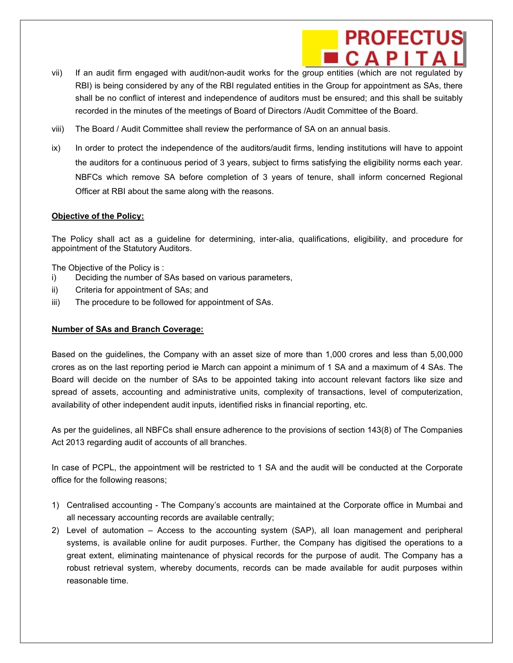vii) If an audit firm engaged with audit/non-audit works for the group entities (which are not regulated by RBI) is being considered by any of the RBI regulated entities in the Group for appointment as SAs, there shall be no conflict of interest and independence of auditors must be ensured; and this shall be suitably recorded in the minutes of the meetings of Board of Directors /Audit Committee of the Board.

**PROFECTUS** 

- viii) The Board / Audit Committee shall review the performance of SA on an annual basis.
- ix) In order to protect the independence of the auditors/audit firms, lending institutions will have to appoint the auditors for a continuous period of 3 years, subject to firms satisfying the eligibility norms each year. NBFCs which remove SA before completion of 3 years of tenure, shall inform concerned Regional Officer at RBI about the same along with the reasons.

#### Objective of the Policy:

The Policy shall act as a guideline for determining, inter-alia, qualifications, eligibility, and procedure for appointment of the Statutory Auditors.

The Objective of the Policy is :

- i) Deciding the number of SAs based on various parameters,
- ii) Criteria for appointment of SAs; and
- iii) The procedure to be followed for appointment of SAs.

#### Number of SAs and Branch Coverage:

Based on the guidelines, the Company with an asset size of more than 1,000 crores and less than 5,00,000 crores as on the last reporting period ie March can appoint a minimum of 1 SA and a maximum of 4 SAs. The Board will decide on the number of SAs to be appointed taking into account relevant factors like size and spread of assets, accounting and administrative units, complexity of transactions, level of computerization, availability of other independent audit inputs, identified risks in financial reporting, etc.

As per the guidelines, all NBFCs shall ensure adherence to the provisions of section 143(8) of The Companies Act 2013 regarding audit of accounts of all branches.

In case of PCPL, the appointment will be restricted to 1 SA and the audit will be conducted at the Corporate office for the following reasons;

- 1) Centralised accounting The Company's accounts are maintained at the Corporate office in Mumbai and all necessary accounting records are available centrally;
- 2) Level of automation Access to the accounting system (SAP), all loan management and peripheral systems, is available online for audit purposes. Further, the Company has digitised the operations to a great extent, eliminating maintenance of physical records for the purpose of audit. The Company has a robust retrieval system, whereby documents, records can be made available for audit purposes within reasonable time.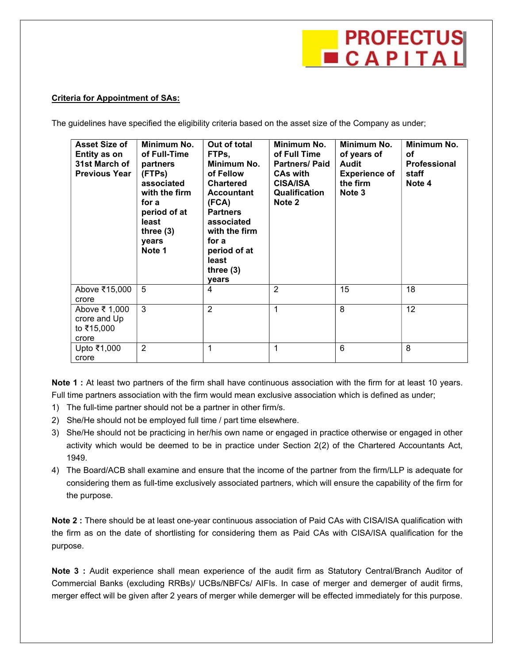# **PROFECTUS<br>CAPITAL**

#### Criteria for Appointment of SAs:

The guidelines have specified the eligibility criteria based on the asset size of the Company as under;

| <b>Asset Size of</b><br>Entity as on<br>31st March of<br><b>Previous Year</b> | Minimum No.<br>of Full-Time<br>partners<br>(FTPs)<br>associated<br>with the firm<br>for a<br>period of at<br>least<br>three $(3)$<br>years<br>Note 1 | Out of total<br>FTPs,<br>Minimum No.<br>of Fellow<br><b>Chartered</b><br><b>Accountant</b><br>(FCA)<br><b>Partners</b><br>associated<br>with the firm<br>for a<br>period of at<br>least<br>three $(3)$<br>years | Minimum No.<br>of Full Time<br><b>Partners/Paid</b><br><b>CAs with</b><br><b>CISA/ISA</b><br>Qualification<br>Note 2 | Minimum No.<br>of years of<br><b>Audit</b><br><b>Experience of</b><br>the firm<br>Note 3 | Minimum No.<br>οf<br><b>Professional</b><br>staff<br>Note 4 |
|-------------------------------------------------------------------------------|------------------------------------------------------------------------------------------------------------------------------------------------------|-----------------------------------------------------------------------------------------------------------------------------------------------------------------------------------------------------------------|----------------------------------------------------------------------------------------------------------------------|------------------------------------------------------------------------------------------|-------------------------------------------------------------|
| Above ₹15,000<br>crore                                                        | 5                                                                                                                                                    | 4                                                                                                                                                                                                               | $\overline{2}$                                                                                                       | 15                                                                                       | 18                                                          |
| Above ₹ 1,000<br>crore and Up<br>to ₹15,000<br>crore                          | 3                                                                                                                                                    | $\overline{2}$                                                                                                                                                                                                  |                                                                                                                      | 8                                                                                        | 12                                                          |
| Upto ₹1,000<br>crore                                                          | $\overline{2}$                                                                                                                                       | 1                                                                                                                                                                                                               | 1                                                                                                                    | 6                                                                                        | 8                                                           |

Note 1 : At least two partners of the firm shall have continuous association with the firm for at least 10 years. Full time partners association with the firm would mean exclusive association which is defined as under;

- 1) The full-time partner should not be a partner in other firm/s.
- 2) She/He should not be employed full time / part time elsewhere.
- 3) She/He should not be practicing in her/his own name or engaged in practice otherwise or engaged in other activity which would be deemed to be in practice under Section 2(2) of the Chartered Accountants Act, 1949.
- 4) The Board/ACB shall examine and ensure that the income of the partner from the firm/LLP is adequate for considering them as full-time exclusively associated partners, which will ensure the capability of the firm for the purpose.

Note 2 : There should be at least one-year continuous association of Paid CAs with CISA/ISA qualification with the firm as on the date of shortlisting for considering them as Paid CAs with CISA/ISA qualification for the purpose.

Note 3 : Audit experience shall mean experience of the audit firm as Statutory Central/Branch Auditor of Commercial Banks (excluding RRBs)/ UCBs/NBFCs/ AIFIs. In case of merger and demerger of audit firms, merger effect will be given after 2 years of merger while demerger will be effected immediately for this purpose.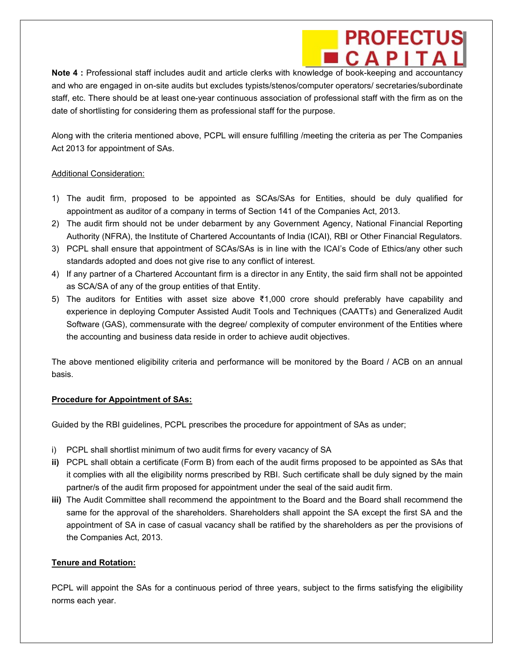Note 4 : Professional staff includes audit and article clerks with knowledge of book-keeping and accountancy and who are engaged in on-site audits but excludes typists/stenos/computer operators/ secretaries/subordinate staff, etc. There should be at least one-year continuous association of professional staff with the firm as on the date of shortlisting for considering them as professional staff for the purpose.

**PROFECTUS** 

Along with the criteria mentioned above, PCPL will ensure fulfilling /meeting the criteria as per The Companies Act 2013 for appointment of SAs.

#### Additional Consideration:

- 1) The audit firm, proposed to be appointed as SCAs/SAs for Entities, should be duly qualified for appointment as auditor of a company in terms of Section 141 of the Companies Act, 2013.
- 2) The audit firm should not be under debarment by any Government Agency, National Financial Reporting Authority (NFRA), the Institute of Chartered Accountants of India (ICAI), RBI or Other Financial Regulators.
- 3) PCPL shall ensure that appointment of SCAs/SAs is in line with the ICAI's Code of Ethics/any other such standards adopted and does not give rise to any conflict of interest.
- 4) If any partner of a Chartered Accountant firm is a director in any Entity, the said firm shall not be appointed as SCA/SA of any of the group entities of that Entity.
- 5) The auditors for Entities with asset size above ₹1,000 crore should preferably have capability and experience in deploying Computer Assisted Audit Tools and Techniques (CAATTs) and Generalized Audit Software (GAS), commensurate with the degree/ complexity of computer environment of the Entities where the accounting and business data reside in order to achieve audit objectives.

The above mentioned eligibility criteria and performance will be monitored by the Board / ACB on an annual basis.

#### Procedure for Appointment of SAs:

Guided by the RBI guidelines, PCPL prescribes the procedure for appointment of SAs as under;

- i) PCPL shall shortlist minimum of two audit firms for every vacancy of SA
- ii) PCPL shall obtain a certificate (Form B) from each of the audit firms proposed to be appointed as SAs that it complies with all the eligibility norms prescribed by RBI. Such certificate shall be duly signed by the main partner/s of the audit firm proposed for appointment under the seal of the said audit firm.
- iii) The Audit Committee shall recommend the appointment to the Board and the Board shall recommend the same for the approval of the shareholders. Shareholders shall appoint the SA except the first SA and the appointment of SA in case of casual vacancy shall be ratified by the shareholders as per the provisions of the Companies Act, 2013.

#### Tenure and Rotation:

PCPL will appoint the SAs for a continuous period of three years, subject to the firms satisfying the eligibility norms each year.